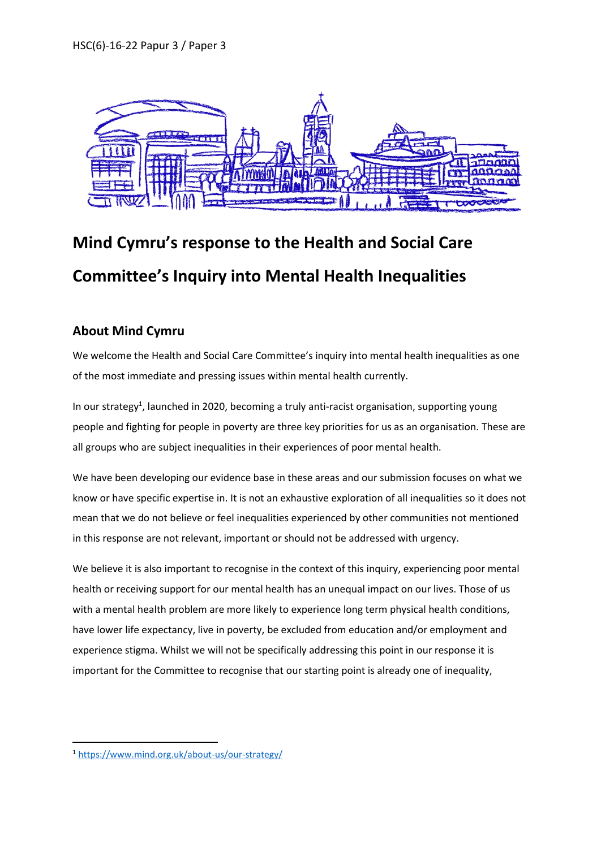

# **Mind Cymru's response to the Health and Social Care Committee's Inquiry into Mental Health Inequalities**

### **About Mind Cymru**

We welcome the Health and Social Care Committee's inquiry into mental health inequalities as one of the most immediate and pressing issues within mental health currently.

In our strategy<sup>1</sup>, launched in 2020, becoming a truly anti-racist organisation, supporting young people and fighting for people in poverty are three key priorities for us as an organisation. These are all groups who are subject inequalities in their experiences of poor mental health.

We have been developing our evidence base in these areas and our submission focuses on what we know or have specific expertise in. It is not an exhaustive exploration of all inequalities so it does not mean that we do not believe or feel inequalities experienced by other communities not mentioned in this response are not relevant, important or should not be addressed with urgency.

We believe it is also important to recognise in the context of this inquiry, experiencing poor mental health or receiving support for our mental health has an unequal impact on our lives. Those of us with a mental health problem are more likely to experience long term physical health conditions, have lower life expectancy, live in poverty, be excluded from education and/or employment and experience stigma. Whilst we will not be specifically addressing this point in our response it is important for the Committee to recognise that our starting point is already one of inequality,

<u>.</u>

<sup>1</sup> <https://www.mind.org.uk/about-us/our-strategy/>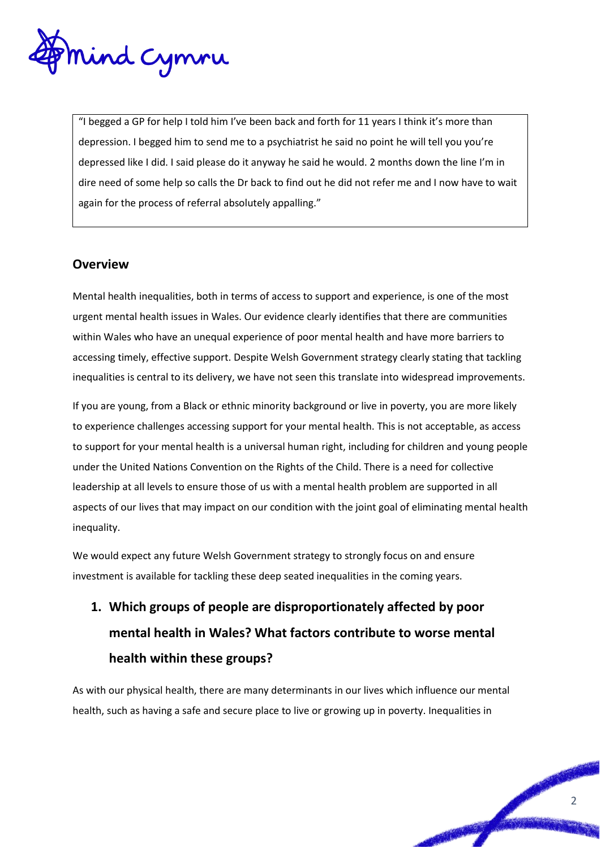

"I begged a GP for help I told him I've been back and forth for 11 years I think it's more than depression. I begged him to send me to a psychiatrist he said no point he will tell you you're depressed like I did. I said please do it anyway he said he would. 2 months down the line I'm in dire need of some help so calls the Dr back to find out he did not refer me and I now have to wait again for the process of referral absolutely appalling."

### **Overview**

Mental health inequalities, both in terms of access to support and experience, is one of the most urgent mental health issues in Wales. Our evidence clearly identifies that there are communities within Wales who have an unequal experience of poor mental health and have more barriers to accessing timely, effective support. Despite Welsh Government strategy clearly stating that tackling inequalities is central to its delivery, we have not seen this translate into widespread improvements.

If you are young, from a Black or ethnic minority background or live in poverty, you are more likely to experience challenges accessing support for your mental health. This is not acceptable, as access to support for your mental health is a universal human right, including for children and young people under the United Nations Convention on the Rights of the Child. There is a need for collective leadership at all levels to ensure those of us with a mental health problem are supported in all aspects of our lives that may impact on our condition with the joint goal of eliminating mental health inequality.

We would expect any future Welsh Government strategy to strongly focus on and ensure investment is available for tackling these deep seated inequalities in the coming years.

## **1. Which groups of people are disproportionately affected by poor mental health in Wales? What factors contribute to worse mental health within these groups?**

As with our physical health, there are many determinants in our lives which influence our mental health, such as having a safe and secure place to live or growing up in poverty. Inequalities in

2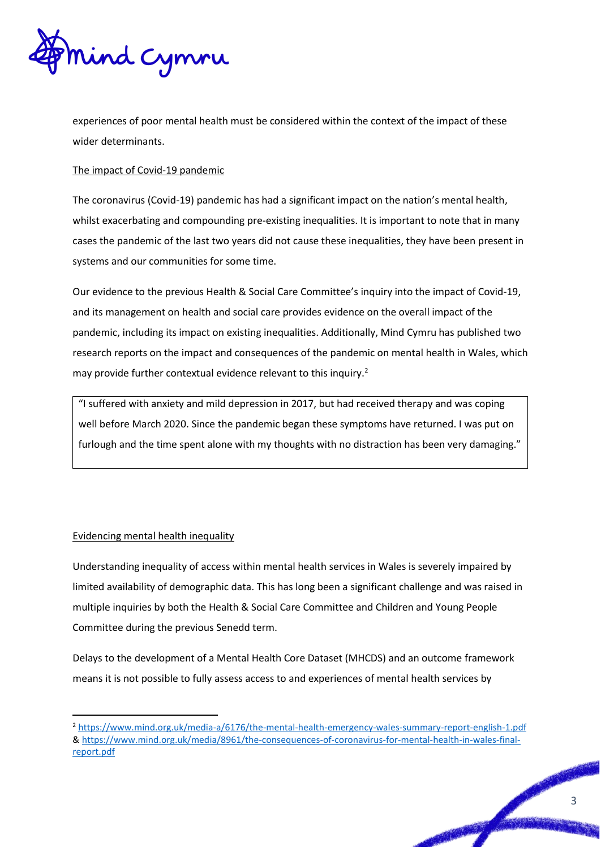

experiences of poor mental health must be considered within the context of the impact of these wider determinants.

#### The impact of Covid-19 pandemic

The coronavirus (Covid-19) pandemic has had a significant impact on the nation's mental health, whilst exacerbating and compounding pre-existing inequalities. It is important to note that in many cases the pandemic of the last two years did not cause these inequalities, they have been present in systems and our communities for some time.

Our evidence to the previous Health & Social Care Committee's inquiry into the impact of Covid-19, and its management on health and social care provides evidence on the overall impact of the pandemic, including its impact on existing inequalities. Additionally, Mind Cymru has published two research reports on the impact and consequences of the pandemic on mental health in Wales, which may provide further contextual evidence relevant to this inquiry.<sup>2</sup>

"I suffered with anxiety and mild depression in 2017, but had received therapy and was coping well before March 2020. Since the pandemic began these symptoms have returned. I was put on furlough and the time spent alone with my thoughts with no distraction has been very damaging."

#### Evidencing mental health inequality

<u>.</u>

Understanding inequality of access within mental health services in Wales is severely impaired by limited availability of demographic data. This has long been a significant challenge and was raised in multiple inquiries by both the Health & Social Care Committee and Children and Young People Committee during the previous Senedd term.

Delays to the development of a Mental Health Core Dataset (MHCDS) and an outcome framework means it is not possible to fully assess access to and experiences of mental health services by

<sup>2</sup> <https://www.mind.org.uk/media-a/6176/the-mental-health-emergency-wales-summary-report-english-1.pdf> & [https://www.mind.org.uk/media/8961/the-consequences-of-coronavirus-for-mental-health-in-wales-final](https://www.mind.org.uk/media/8961/the-consequences-of-coronavirus-for-mental-health-in-wales-final-report.pdf)[report.pdf](https://www.mind.org.uk/media/8961/the-consequences-of-coronavirus-for-mental-health-in-wales-final-report.pdf)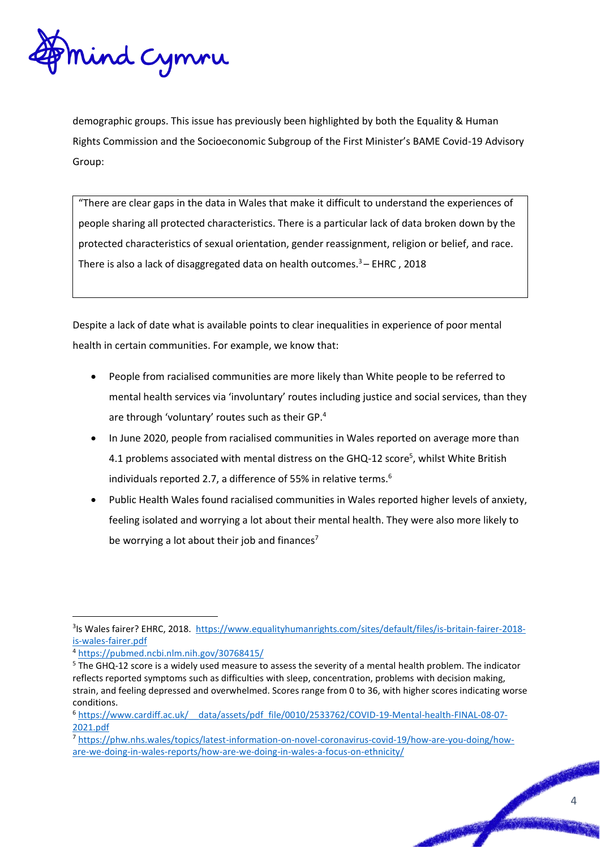

demographic groups. This issue has previously been highlighted by both the Equality & Human Rights Commission and the Socioeconomic Subgroup of the First Minister's BAME Covid-19 Advisory Group:

"There are clear gaps in the data in Wales that make it difficult to understand the experiences of people sharing all protected characteristics. There is a particular lack of data broken down by the protected characteristics of sexual orientation, gender reassignment, religion or belief, and race. There is also a lack of disaggregated data on health outcomes. $3 -$  EHRC, 2018

Despite a lack of date what is available points to clear inequalities in experience of poor mental health in certain communities. For example, we know that:

- People from racialised communities are more likely than White people to be referred to mental health services via 'involuntary' routes including justice and social services, than they are through 'voluntary' routes such as their GP.<sup>4</sup>
- In June 2020, people from racialised communities in Wales reported on average more than 4.1 problems associated with mental distress on the GHQ-12 score<sup>5</sup>, whilst White British individuals reported 2.7, a difference of 55% in relative terms.<sup>6</sup>
- Public Health Wales found racialised communities in Wales reported higher levels of anxiety, feeling isolated and worrying a lot about their mental health. They were also more likely to be worrying a lot about their job and finances<sup>7</sup>

<u>.</u>

<sup>&</sup>lt;sup>3</sup>Is Wales fairer? EHRC, 2018. [https://www.equalityhumanrights.com/sites/default/files/is-britain-fairer-2018](https://www.equalityhumanrights.com/sites/default/files/is-britain-fairer-2018-is-wales-fairer.pdf) [is-wales-fairer.pdf](https://www.equalityhumanrights.com/sites/default/files/is-britain-fairer-2018-is-wales-fairer.pdf)

<sup>4</sup> <https://pubmed.ncbi.nlm.nih.gov/30768415/>

<sup>5</sup> The GHQ-12 score is a widely used measure to assess the severity of a mental health problem. The indicator reflects reported symptoms such as difficulties with sleep, concentration, problems with decision making, strain, and feeling depressed and overwhelmed. Scores range from 0 to 36, with higher scores indicating worse conditions.

<sup>6</sup> [https://www.cardiff.ac.uk/\\_\\_data/assets/pdf\\_file/0010/2533762/COVID-19-Mental-health-FINAL-08-07-](https://www.cardiff.ac.uk/__data/assets/pdf_file/0010/2533762/COVID-19-Mental-health-FINAL-08-07-2021.pdf) [2021.pdf](https://www.cardiff.ac.uk/__data/assets/pdf_file/0010/2533762/COVID-19-Mental-health-FINAL-08-07-2021.pdf)

<sup>7</sup> [https://phw.nhs.wales/topics/latest-information-on-novel-coronavirus-covid-19/how-are-you-doing/how](https://phw.nhs.wales/topics/latest-information-on-novel-coronavirus-covid-19/how-are-you-doing/how-are-we-doing-in-wales-reports/how-are-we-doing-in-wales-a-focus-on-ethnicity/)[are-we-doing-in-wales-reports/how-are-we-doing-in-wales-a-focus-on-ethnicity/](https://phw.nhs.wales/topics/latest-information-on-novel-coronavirus-covid-19/how-are-you-doing/how-are-we-doing-in-wales-reports/how-are-we-doing-in-wales-a-focus-on-ethnicity/)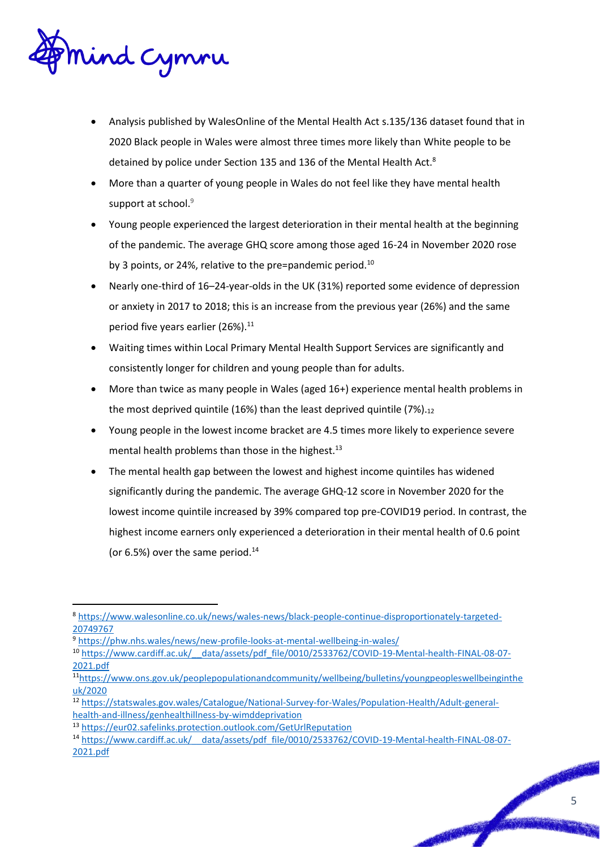

- Analysis published by WalesOnline of the Mental Health Act s.135/136 dataset found that in 2020 Black people in Wales were almost three times more likely than White people to be detained by police under Section 135 and 136 of the Mental Health Act.<sup>8</sup>
- More than a quarter of young people in Wales do not feel like they have mental health support at school.<sup>9</sup>
- Young people experienced the largest deterioration in their mental health at the beginning of the pandemic. The average GHQ score among those aged 16-24 in November 2020 rose by 3 points, or 24%, relative to the pre=pandemic period.<sup>10</sup>
- Nearly one-third of 16–24-year-olds in the UK (31%) reported some evidence of depression or anxiety in 2017 to 2018; this is an increase from the previous year (26%) and the same period five years earlier (26%).<sup>11</sup>
- Waiting times within Local Primary Mental Health Support Services are significantly and consistently longer for children and young people than for adults.
- More than twice as many people in Wales (aged 16+) experience mental health problems in the most deprived quintile (16%) than the least deprived quintile  $(7%)_{.12}$
- Young people in the lowest income bracket are 4.5 times more likely to experience severe mental health problems than those in the highest.<sup>13</sup>
- The mental health gap between the lowest and highest income quintiles has widened significantly during the pandemic. The average GHQ-12 score in November 2020 for the lowest income quintile increased by 39% compared top pre-COVID19 period. In contrast, the highest income earners only experienced a deterioration in their mental health of 0.6 point (or  $6.5\%$ ) over the same period.<sup>14</sup>

<sup>&</sup>lt;u>.</u> <sup>8</sup> [https://www.walesonline.co.uk/news/wales-news/black-people-continue-disproportionately-targeted-](https://www.walesonline.co.uk/news/wales-news/black-people-continue-disproportionately-targeted-20749767)[20749767](https://www.walesonline.co.uk/news/wales-news/black-people-continue-disproportionately-targeted-20749767)

<sup>9</sup> <https://phw.nhs.wales/news/new-profile-looks-at-mental-wellbeing-in-wales/>

<sup>10</sup> [https://www.cardiff.ac.uk/\\_\\_data/assets/pdf\\_file/0010/2533762/COVID-19-Mental-health-FINAL-08-07-](https://www.cardiff.ac.uk/__data/assets/pdf_file/0010/2533762/COVID-19-Mental-health-FINAL-08-07-2021.pdf) [2021.pdf](https://www.cardiff.ac.uk/__data/assets/pdf_file/0010/2533762/COVID-19-Mental-health-FINAL-08-07-2021.pdf)

<sup>11</sup>[https://www.ons.gov.uk/peoplepopulationandcommunity/wellbeing/bulletins/youngpeopleswellbeinginthe](https://www.ons.gov.uk/peoplepopulationandcommunity/wellbeing/bulletins/youngpeopleswellbeingintheuk/2020) [uk/2020](https://www.ons.gov.uk/peoplepopulationandcommunity/wellbeing/bulletins/youngpeopleswellbeingintheuk/2020)

<sup>12</sup> [https://statswales.gov.wales/Catalogue/National-Survey-for-Wales/Population-Health/Adult-general](https://statswales.gov.wales/Catalogue/National-Survey-for-Wales/Population-Health/Adult-general-health-and-illness/genhealthillness-by-wimddeprivation)[health-and-illness/genhealthillness-by-wimddeprivation](https://statswales.gov.wales/Catalogue/National-Survey-for-Wales/Population-Health/Adult-general-health-and-illness/genhealthillness-by-wimddeprivation)

<sup>13</sup> <https://eur02.safelinks.protection.outlook.com/GetUrlReputation>

<sup>14</sup> [https://www.cardiff.ac.uk/\\_\\_data/assets/pdf\\_file/0010/2533762/COVID-19-Mental-health-FINAL-08-07-](https://www.cardiff.ac.uk/__data/assets/pdf_file/0010/2533762/COVID-19-Mental-health-FINAL-08-07-2021.pdf) [2021.pdf](https://www.cardiff.ac.uk/__data/assets/pdf_file/0010/2533762/COVID-19-Mental-health-FINAL-08-07-2021.pdf)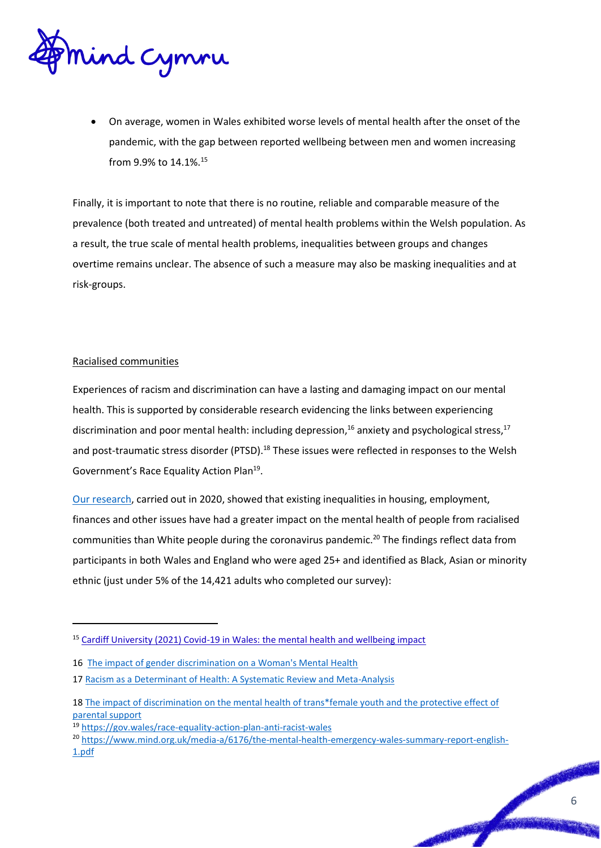

 On average, women in Wales exhibited worse levels of mental health after the onset of the pandemic, with the gap between reported wellbeing between men and women increasing from 9.9% to 14.1%.<sup>15</sup>

Finally, it is important to note that there is no routine, reliable and comparable measure of the prevalence (both treated and untreated) of mental health problems within the Welsh population. As a result, the true scale of mental health problems, inequalities between groups and changes overtime remains unclear. The absence of such a measure may also be masking inequalities and at risk-groups.

#### Racialised communities

<u>.</u>

Experiences of racism and discrimination can have a lasting and damaging impact on our mental health. This is supported by considerable research evidencing the links between experiencing discrimination and poor mental health: including depression,<sup>16</sup> anxiety and psychological stress,<sup>17</sup> and post-traumatic stress disorder (PTSD).<sup>18</sup> These issues were reflected in responses to the Welsh Government's Race Equality Action Plan<sup>19</sup>.

[Our research,](https://www.mind.org.uk/media-a/6175/the-mental-health-emergency-wales-summary-report-english.pdf) carried out in 2020, showed that existing inequalities in housing, employment, finances and other issues have had a greater impact on the mental health of people from racialised communities than White people during the coronavirus pandemic.<sup>20</sup> The findings reflect data from participants in both Wales and England who were aged 25+ and identified as Black, Asian or minority ethnic (just under 5% of the 14,421 adults who completed our survey):

<sup>&</sup>lt;sup>15</sup> [Cardiff University \(2021\) Covid-19 in Wales: the mental health and wellbeing impact](https://www.cardiff.ac.uk/__data/assets/pdf_file/0010/2533762/COVID-19-Mental-health-FINAL-08-07-2021.pdf)

<sup>16</sup> [The impact of gender discrimination on a Woman's Mental Health](https://www.thelancet.com/journals/eclinm/article/PIIS2589-5370(20)30055-9/fulltext) 

<sup>17</sup> Racism as a Determinant of Health: A Systematic Review and Meta-Analysis

<sup>18</sup> [The impact of discrimination on the mental health of trans\\*female youth and the protective effect of](https://www.ncbi.nlm.nih.gov/pmc/articles/PMC5025345/)  [parental support](https://www.ncbi.nlm.nih.gov/pmc/articles/PMC5025345/)

<sup>19</sup> <https://gov.wales/race-equality-action-plan-anti-racist-wales>

<sup>&</sup>lt;sup>20</sup> [https://www.mind.org.uk/media-a/6176/the-mental-health-emergency-wales-summary-report-english-](https://www.mind.org.uk/media-a/6176/the-mental-health-emergency-wales-summary-report-english-1.pdf)[1.pdf](https://www.mind.org.uk/media-a/6176/the-mental-health-emergency-wales-summary-report-english-1.pdf)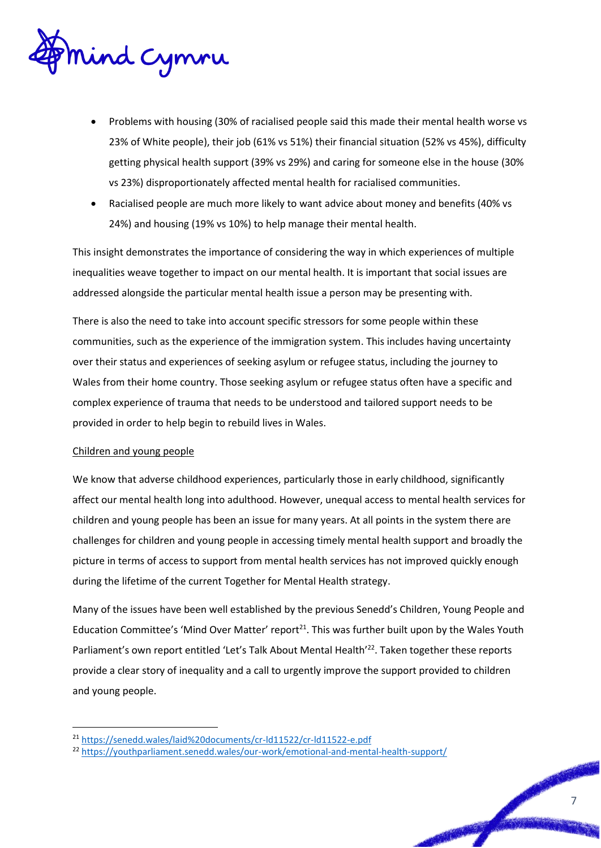

- Problems with housing (30% of racialised people said this made their mental health worse vs 23% of White people), their job (61% vs 51%) their financial situation (52% vs 45%), difficulty getting physical health support (39% vs 29%) and caring for someone else in the house (30% vs 23%) disproportionately affected mental health for racialised communities.
- Racialised people are much more likely to want advice about money and benefits (40% vs 24%) and housing (19% vs 10%) to help manage their mental health.

This insight demonstrates the importance of considering the way in which experiences of multiple inequalities weave together to impact on our mental health. It is important that social issues are addressed alongside the particular mental health issue a person may be presenting with.

There is also the need to take into account specific stressors for some people within these communities, such as the experience of the immigration system. This includes having uncertainty over their status and experiences of seeking asylum or refugee status, including the journey to Wales from their home country. Those seeking asylum or refugee status often have a specific and complex experience of trauma that needs to be understood and tailored support needs to be provided in order to help begin to rebuild lives in Wales.

#### Children and young people

<u>.</u>

We know that adverse childhood experiences, particularly those in early childhood, significantly affect our mental health long into adulthood. However, unequal access to mental health services for children and young people has been an issue for many years. At all points in the system there are challenges for children and young people in accessing timely mental health support and broadly the picture in terms of access to support from mental health services has not improved quickly enough during the lifetime of the current Together for Mental Health strategy.

Many of the issues have been well established by the previous Senedd's Children, Young People and Education Committee's 'Mind Over Matter' report<sup>21</sup>. This was further built upon by the Wales Youth Parliament's own report entitled 'Let's Talk About Mental Health'<sup>22</sup>. Taken together these reports provide a clear story of inequality and a call to urgently improve the support provided to children and young people.

<sup>21</sup> <https://senedd.wales/laid%20documents/cr-ld11522/cr-ld11522-e.pdf>

<sup>22</sup> <https://youthparliament.senedd.wales/our-work/emotional-and-mental-health-support/>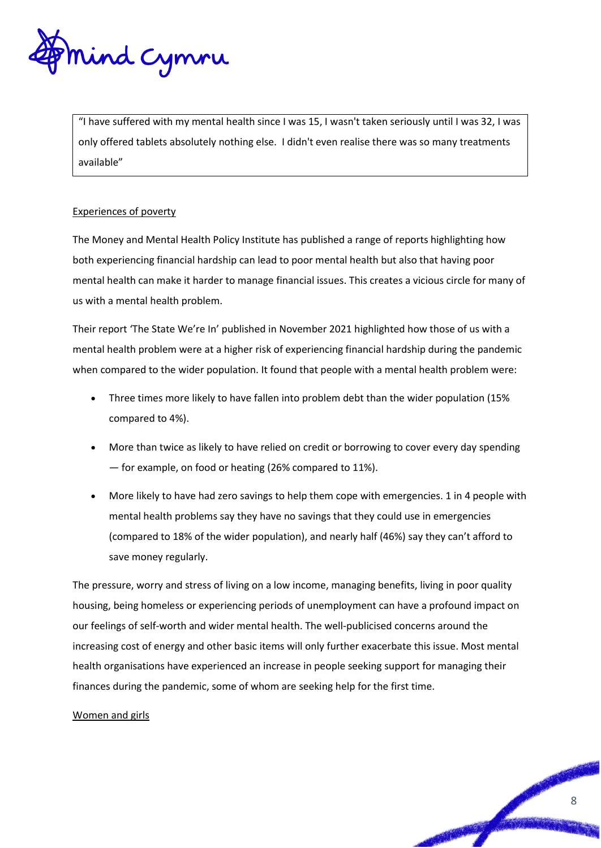

"I have suffered with my mental health since I was 15, I wasn't taken seriously until I was 32, I was only offered tablets absolutely nothing else. I didn't even realise there was so many treatments available"

#### Experiences of poverty

The Money and Mental Health Policy Institute has published a range of reports highlighting how both experiencing financial hardship can lead to poor mental health but also that having poor mental health can make it harder to manage financial issues. This creates a vicious circle for many of us with a mental health problem.

Their report 'The State We're In' published in November 2021 highlighted how those of us with a mental health problem were at a higher risk of experiencing financial hardship during the pandemic when compared to the wider population. It found that people with a mental health problem were:

- Three times more likely to have fallen into problem debt than the wider population (15% compared to 4%).
- More than twice as likely to have relied on credit or borrowing to cover every day spending — for example, on food or heating (26% compared to 11%).
- More likely to have had zero savings to help them cope with emergencies. 1 in 4 people with mental health problems say they have no savings that they could use in emergencies (compared to 18% of the wider population), and nearly half (46%) say they can't afford to save money regularly.

The pressure, worry and stress of living on a low income, managing benefits, living in poor quality housing, being homeless or experiencing periods of unemployment can have a profound impact on our feelings of self-worth and wider mental health. The well-publicised concerns around the increasing cost of energy and other basic items will only further exacerbate this issue. Most mental health organisations have experienced an increase in people seeking support for managing their finances during the pandemic, some of whom are seeking help for the first time.

#### Women and girls

8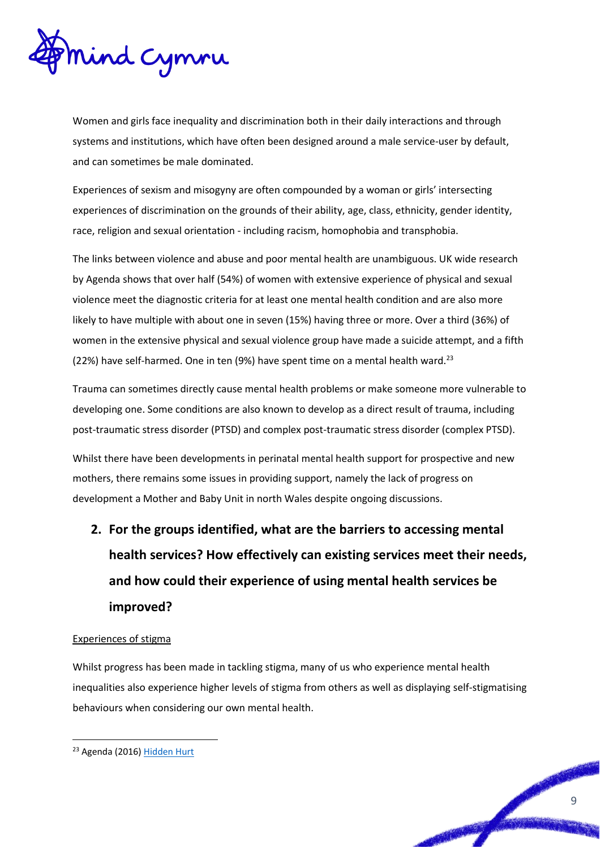

Women and girls face inequality and discrimination both in their daily interactions and through systems and institutions, which have often been designed around a male service-user by default, and can sometimes be male dominated.

Experiences of sexism and misogyny are often compounded by a woman or girls' intersecting experiences of discrimination on the grounds of their ability, age, class, ethnicity, gender identity, race, religion and sexual orientation - including racism, homophobia and transphobia.

The links between violence and abuse and poor mental health are unambiguous. UK wide research by Agenda shows that over half (54%) of women with extensive experience of physical and sexual violence meet the diagnostic criteria for at least one mental health condition and are also more likely to have multiple with about one in seven (15%) having three or more. Over a third (36%) of women in the extensive physical and sexual violence group have made a suicide attempt, and a fifth (22%) have self-harmed. One in ten (9%) have spent time on a mental health ward.<sup>23</sup>

Trauma can sometimes directly cause mental health problems or make someone more vulnerable to developing one. Some conditions are also known to develop as a direct result of trauma, including post-traumatic stress disorder (PTSD) and complex post-traumatic stress disorder (complex PTSD).

Whilst there have been developments in perinatal mental health support for prospective and new mothers, there remains some issues in providing support, namely the lack of progress on development a Mother and Baby Unit in north Wales despite ongoing discussions.

**2. For the groups identified, what are the barriers to accessing mental health services? How effectively can existing services meet their needs, and how could their experience of using mental health services be improved?**

#### Experiences of stigma

Whilst progress has been made in tackling stigma, many of us who experience mental health inequalities also experience higher levels of stigma from others as well as displaying self-stigmatising behaviours when considering our own mental health.

<u>.</u>

9

<sup>23</sup> Agenda (2016[\) Hidden Hurt](https://weareagenda.org/wp-content/uploads/2015/11/Hidden-Hurt-full-report1.pdf)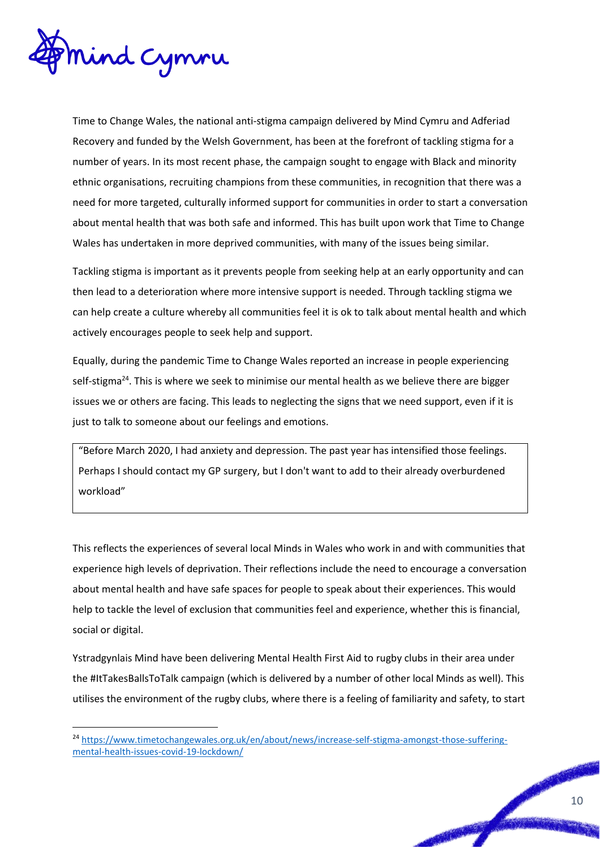

<u>.</u>

Time to Change Wales, the national anti-stigma campaign delivered by Mind Cymru and Adferiad Recovery and funded by the Welsh Government, has been at the forefront of tackling stigma for a number of years. In its most recent phase, the campaign sought to engage with Black and minority ethnic organisations, recruiting champions from these communities, in recognition that there was a need for more targeted, culturally informed support for communities in order to start a conversation about mental health that was both safe and informed. This has built upon work that Time to Change Wales has undertaken in more deprived communities, with many of the issues being similar.

Tackling stigma is important as it prevents people from seeking help at an early opportunity and can then lead to a deterioration where more intensive support is needed. Through tackling stigma we can help create a culture whereby all communities feel it is ok to talk about mental health and which actively encourages people to seek help and support.

Equally, during the pandemic Time to Change Wales reported an increase in people experiencing self-stigma<sup>24</sup>. This is where we seek to minimise our mental health as we believe there are bigger issues we or others are facing. This leads to neglecting the signs that we need support, even if it is just to talk to someone about our feelings and emotions.

"Before March 2020, I had anxiety and depression. The past year has intensified those feelings. Perhaps I should contact my GP surgery, but I don't want to add to their already overburdened workload"

This reflects the experiences of several local Minds in Wales who work in and with communities that experience high levels of deprivation. Their reflections include the need to encourage a conversation about mental health and have safe spaces for people to speak about their experiences. This would help to tackle the level of exclusion that communities feel and experience, whether this is financial, social or digital.

Ystradgynlais Mind have been delivering Mental Health First Aid to rugby clubs in their area under the #ItTakesBallsToTalk campaign (which is delivered by a number of other local Minds as well). This utilises the environment of the rugby clubs, where there is a feeling of familiarity and safety, to start

<sup>&</sup>lt;sup>24</sup> [https://www.timetochangewales.org.uk/en/about/news/increase-self-stigma-amongst-those-suffering](https://www.timetochangewales.org.uk/en/about/news/increase-self-stigma-amongst-those-suffering-mental-health-issues-covid-19-lockdown/)[mental-health-issues-covid-19-lockdown/](https://www.timetochangewales.org.uk/en/about/news/increase-self-stigma-amongst-those-suffering-mental-health-issues-covid-19-lockdown/)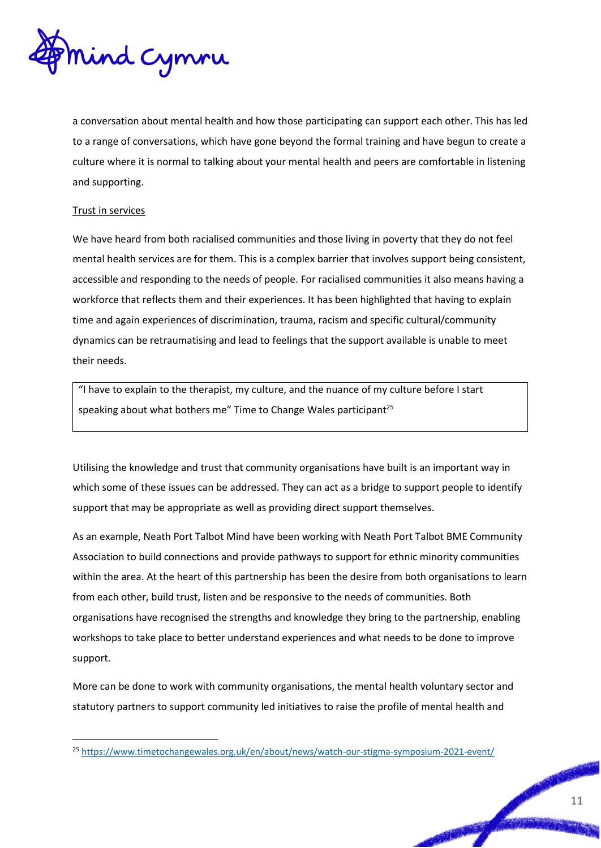

a conversation about mental health and how those participating can support each other. This has led to a range of conversations, which have gone beyond the formal training and have begun to create a culture where it is normal to talking about your mental health and peers are comfortable in listening and supporting.

#### Trust in services

<u>.</u>

We have heard from both racialised communities and those living in poverty that they do not feel mental health services are for them. This is a complex barrier that involves support being consistent, accessible and responding to the needs of people. For racialised communities it also means having a workforce that reflects them and their experiences. It has been highlighted that having to explain time and again experiences of discrimination, trauma, racism and specific cultural/community dynamics can be retraumatising and lead to feelings that the support available is unable to meet their needs.

"I have to explain to the therapist, my culture, and the nuance of my culture before I start speaking about what bothers me" Time to Change Wales participant<sup>25</sup>

Utilising the knowledge and trust that community organisations have built is an important way in which some of these issues can be addressed. They can act as a bridge to support people to identify support that may be appropriate as well as providing direct support themselves.

As an example, Neath Port Talbot Mind have been working with Neath Port Talbot BME Community Association to build connections and provide pathways to support for ethnic minority communities within the area. At the heart of this partnership has been the desire from both organisations to learn from each other, build trust, listen and be responsive to the needs of communities. Both organisations have recognised the strengths and knowledge they bring to the partnership, enabling workshops to take place to better understand experiences and what needs to be done to improve support.

More can be done to work with community organisations, the mental health voluntary sector and statutory partners to support community led initiatives to raise the profile of mental health and

<sup>&</sup>lt;sup>25</sup> <https://www.timetochangewales.org.uk/en/about/news/watch-our-stigma-symposium-2021-event/>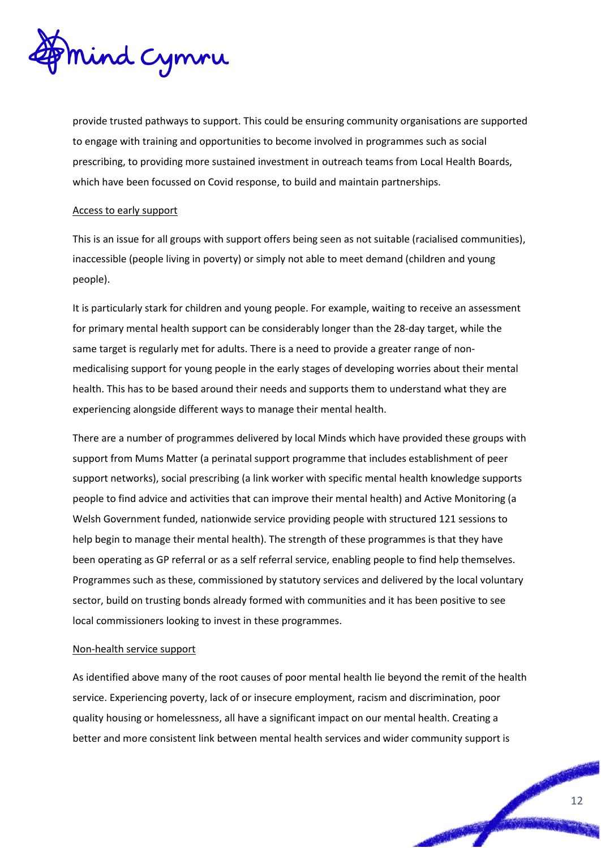

provide trusted pathways to support. This could be ensuring community organisations are supported to engage with training and opportunities to become involved in programmes such as social prescribing, to providing more sustained investment in outreach teams from Local Health Boards, which have been focussed on Covid response, to build and maintain partnerships.

#### Access to early support

This is an issue for all groups with support offers being seen as not suitable (racialised communities), inaccessible (people living in poverty) or simply not able to meet demand (children and young people).

It is particularly stark for children and young people. For example, waiting to receive an assessment for primary mental health support can be considerably longer than the 28-day target, while the same target is regularly met for adults. There is a need to provide a greater range of nonmedicalising support for young people in the early stages of developing worries about their mental health. This has to be based around their needs and supports them to understand what they are experiencing alongside different ways to manage their mental health.

There are a number of programmes delivered by local Minds which have provided these groups with support from Mums Matter (a perinatal support programme that includes establishment of peer support networks), social prescribing (a link worker with specific mental health knowledge supports people to find advice and activities that can improve their mental health) and Active Monitoring (a Welsh Government funded, nationwide service providing people with structured 121 sessions to help begin to manage their mental health). The strength of these programmes is that they have been operating as GP referral or as a self referral service, enabling people to find help themselves. Programmes such as these, commissioned by statutory services and delivered by the local voluntary sector, build on trusting bonds already formed with communities and it has been positive to see local commissioners looking to invest in these programmes.

#### Non-health service support

As identified above many of the root causes of poor mental health lie beyond the remit of the health service. Experiencing poverty, lack of or insecure employment, racism and discrimination, poor quality housing or homelessness, all have a significant impact on our mental health. Creating a better and more consistent link between mental health services and wider community support is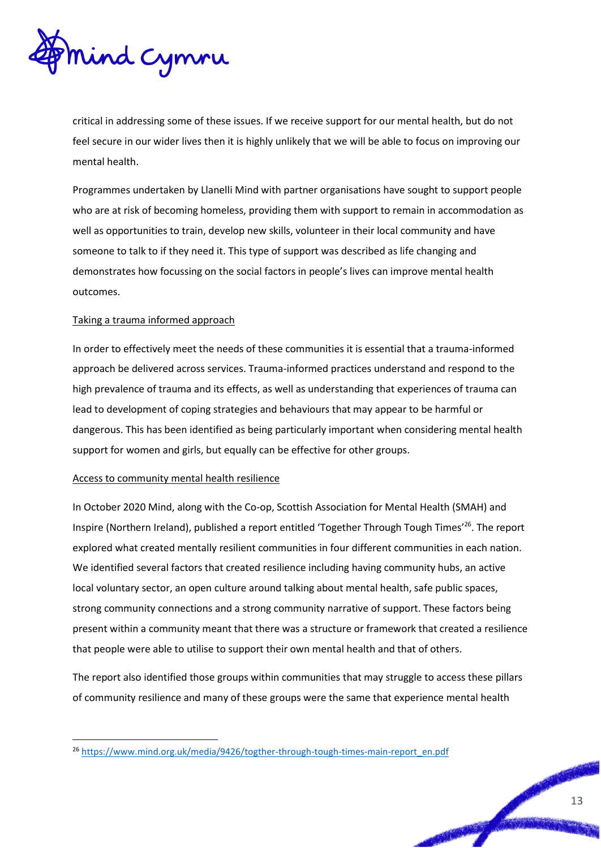

critical in addressing some of these issues. If we receive support for our mental health, but do not feel secure in our wider lives then it is highly unlikely that we will be able to focus on improving our mental health.

Programmes undertaken by Llanelli Mind with partner organisations have sought to support people who are at risk of becoming homeless, providing them with support to remain in accommodation as well as opportunities to train, develop new skills, volunteer in their local community and have someone to talk to if they need it. This type of support was described as life changing and demonstrates how focussing on the social factors in people's lives can improve mental health outcomes.

#### Taking a trauma informed approach

In order to effectively meet the needs of these communities it is essential that a trauma-informed approach be delivered across services. Trauma-informed practices understand and respond to the high prevalence of trauma and its effects, as well as understanding that experiences of trauma can lead to development of coping strategies and behaviours that may appear to be harmful or dangerous. This has been identified as being particularly important when considering mental health support for women and girls, but equally can be effective for other groups.

#### Access to community mental health resilience

<u>.</u>

In October 2020 Mind, along with the Co-op, Scottish Association for Mental Health (SMAH) and Inspire (Northern Ireland), published a report entitled 'Together Through Tough Times'<sup>26</sup>. The report explored what created mentally resilient communities in four different communities in each nation. We identified several factors that created resilience including having community hubs, an active local voluntary sector, an open culture around talking about mental health, safe public spaces, strong community connections and a strong community narrative of support. These factors being present within a community meant that there was a structure or framework that created a resilience that people were able to utilise to support their own mental health and that of others.

The report also identified those groups within communities that may struggle to access these pillars of community resilience and many of these groups were the same that experience mental health

<sup>&</sup>lt;sup>26</sup> [https://www.mind.org.uk/media/9426/togther-through-tough-times-main-report\\_en.pdf](https://www.mind.org.uk/media/9426/togther-through-tough-times-main-report_en.pdf)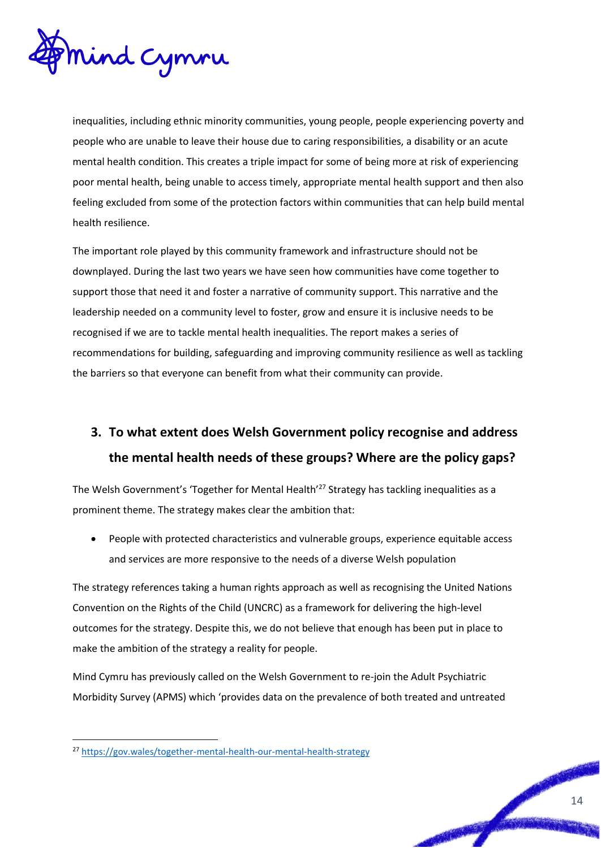

inequalities, including ethnic minority communities, young people, people experiencing poverty and people who are unable to leave their house due to caring responsibilities, a disability or an acute mental health condition. This creates a triple impact for some of being more at risk of experiencing poor mental health, being unable to access timely, appropriate mental health support and then also feeling excluded from some of the protection factors within communities that can help build mental health resilience.

The important role played by this community framework and infrastructure should not be downplayed. During the last two years we have seen how communities have come together to support those that need it and foster a narrative of community support. This narrative and the leadership needed on a community level to foster, grow and ensure it is inclusive needs to be recognised if we are to tackle mental health inequalities. The report makes a series of recommendations for building, safeguarding and improving community resilience as well as tackling the barriers so that everyone can benefit from what their community can provide.

### **3. To what extent does Welsh Government policy recognise and address the mental health needs of these groups? Where are the policy gaps?**

The Welsh Government's 'Together for Mental Health'<sup>27</sup> Strategy has tackling inequalities as a prominent theme. The strategy makes clear the ambition that:

 People with protected characteristics and vulnerable groups, experience equitable access and services are more responsive to the needs of a diverse Welsh population

The strategy references taking a human rights approach as well as recognising the United Nations Convention on the Rights of the Child (UNCRC) as a framework for delivering the high-level outcomes for the strategy. Despite this, we do not believe that enough has been put in place to make the ambition of the strategy a reality for people.

Mind Cymru has previously called on the Welsh Government to re-join the Adult Psychiatric Morbidity Survey (APMS) which 'provides data on the prevalence of both treated and untreated

<u>.</u>

<sup>27</sup> <https://gov.wales/together-mental-health-our-mental-health-strategy>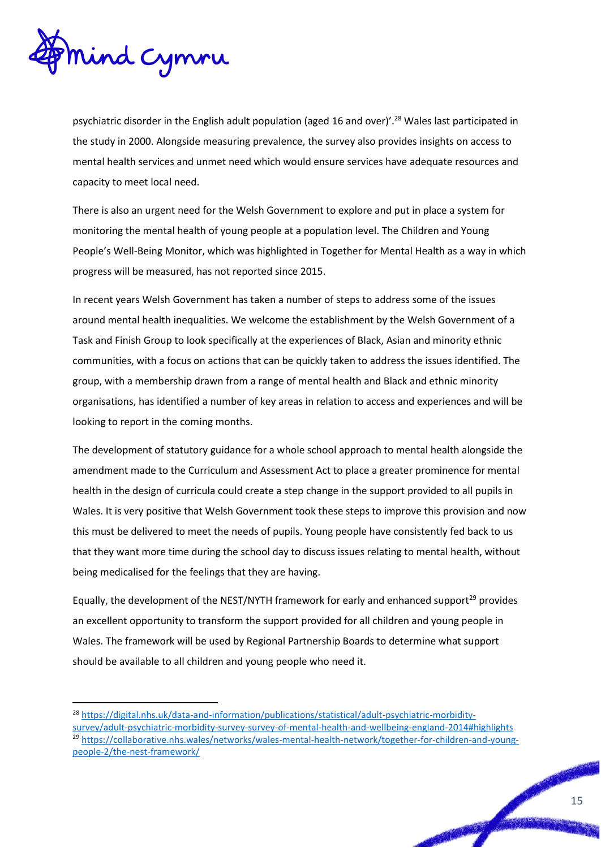

<u>.</u>

psychiatric disorder in the English adult population (aged 16 and over)'.<sup>28</sup> Wales last participated in the study in 2000. Alongside measuring prevalence, the survey also provides insights on access to mental health services and unmet need which would ensure services have adequate resources and capacity to meet local need.

There is also an urgent need for the Welsh Government to explore and put in place a system for monitoring the mental health of young people at a population level. The Children and Young People's Well-Being Monitor, which was highlighted in Together for Mental Health as a way in which progress will be measured, has not reported since 2015.

In recent years Welsh Government has taken a number of steps to address some of the issues around mental health inequalities. We welcome the establishment by the Welsh Government of a Task and Finish Group to look specifically at the experiences of Black, Asian and minority ethnic communities, with a focus on actions that can be quickly taken to address the issues identified. The group, with a membership drawn from a range of mental health and Black and ethnic minority organisations, has identified a number of key areas in relation to access and experiences and will be looking to report in the coming months.

The development of statutory guidance for a whole school approach to mental health alongside the amendment made to the Curriculum and Assessment Act to place a greater prominence for mental health in the design of curricula could create a step change in the support provided to all pupils in Wales. It is very positive that Welsh Government took these steps to improve this provision and now this must be delivered to meet the needs of pupils. Young people have consistently fed back to us that they want more time during the school day to discuss issues relating to mental health, without being medicalised for the feelings that they are having.

Equally, the development of the NEST/NYTH framework for early and enhanced support<sup>29</sup> provides an excellent opportunity to transform the support provided for all children and young people in Wales. The framework will be used by Regional Partnership Boards to determine what support should be available to all children and young people who need it.

<sup>28</sup> [https://digital.nhs.uk/data-and-information/publications/statistical/adult-psychiatric-morbidity](https://digital.nhs.uk/data-and-information/publications/statistical/adult-psychiatric-morbidity-survey/adult-psychiatric-morbidity-survey-survey-of-mental-health-and-wellbeing-england-2014#highlights)[survey/adult-psychiatric-morbidity-survey-survey-of-mental-health-and-wellbeing-england-2014#highlights](https://digital.nhs.uk/data-and-information/publications/statistical/adult-psychiatric-morbidity-survey/adult-psychiatric-morbidity-survey-survey-of-mental-health-and-wellbeing-england-2014#highlights) <sup>29</sup> [https://collaborative.nhs.wales/networks/wales-mental-health-network/together-for-children-and-young](https://collaborative.nhs.wales/networks/wales-mental-health-network/together-for-children-and-young-people-2/the-nest-framework/)[people-2/the-nest-framework/](https://collaborative.nhs.wales/networks/wales-mental-health-network/together-for-children-and-young-people-2/the-nest-framework/)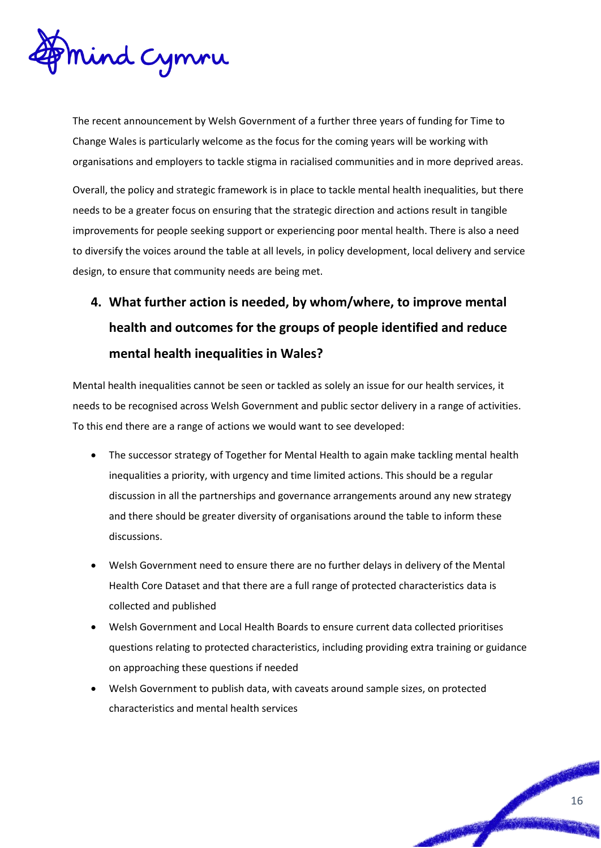

The recent announcement by Welsh Government of a further three years of funding for Time to Change Wales is particularly welcome as the focus for the coming years will be working with organisations and employers to tackle stigma in racialised communities and in more deprived areas.

Overall, the policy and strategic framework is in place to tackle mental health inequalities, but there needs to be a greater focus on ensuring that the strategic direction and actions result in tangible improvements for people seeking support or experiencing poor mental health. There is also a need to diversify the voices around the table at all levels, in policy development, local delivery and service design, to ensure that community needs are being met.

## **4. What further action is needed, by whom/where, to improve mental health and outcomes for the groups of people identified and reduce mental health inequalities in Wales?**

Mental health inequalities cannot be seen or tackled as solely an issue for our health services, it needs to be recognised across Welsh Government and public sector delivery in a range of activities. To this end there are a range of actions we would want to see developed:

- The successor strategy of Together for Mental Health to again make tackling mental health inequalities a priority, with urgency and time limited actions. This should be a regular discussion in all the partnerships and governance arrangements around any new strategy and there should be greater diversity of organisations around the table to inform these discussions.
- Welsh Government need to ensure there are no further delays in delivery of the Mental Health Core Dataset and that there are a full range of protected characteristics data is collected and published
- Welsh Government and Local Health Boards to ensure current data collected prioritises questions relating to protected characteristics, including providing extra training or guidance on approaching these questions if needed
- Welsh Government to publish data, with caveats around sample sizes, on protected characteristics and mental health services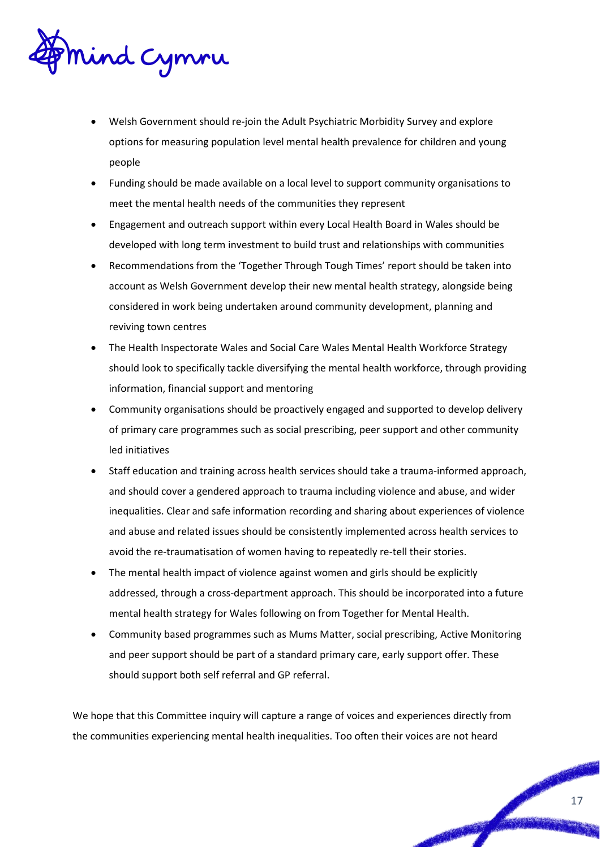

- Welsh Government should re-join the Adult Psychiatric Morbidity Survey and explore options for measuring population level mental health prevalence for children and young people
- Funding should be made available on a local level to support community organisations to meet the mental health needs of the communities they represent
- Engagement and outreach support within every Local Health Board in Wales should be developed with long term investment to build trust and relationships with communities
- Recommendations from the 'Together Through Tough Times' report should be taken into account as Welsh Government develop their new mental health strategy, alongside being considered in work being undertaken around community development, planning and reviving town centres
- The Health Inspectorate Wales and Social Care Wales Mental Health Workforce Strategy should look to specifically tackle diversifying the mental health workforce, through providing information, financial support and mentoring
- Community organisations should be proactively engaged and supported to develop delivery of primary care programmes such as social prescribing, peer support and other community led initiatives
- Staff education and training across health services should take a trauma-informed approach, and should cover a gendered approach to trauma including violence and abuse, and wider inequalities. Clear and safe information recording and sharing about experiences of violence and abuse and related issues should be consistently implemented across health services to avoid the re-traumatisation of women having to repeatedly re-tell their stories.
- The mental health impact of violence against women and girls should be explicitly addressed, through a cross-department approach. This should be incorporated into a future mental health strategy for Wales following on from Together for Mental Health.
- Community based programmes such as Mums Matter, social prescribing, Active Monitoring and peer support should be part of a standard primary care, early support offer. These should support both self referral and GP referral.

We hope that this Committee inquiry will capture a range of voices and experiences directly from the communities experiencing mental health inequalities. Too often their voices are not heard